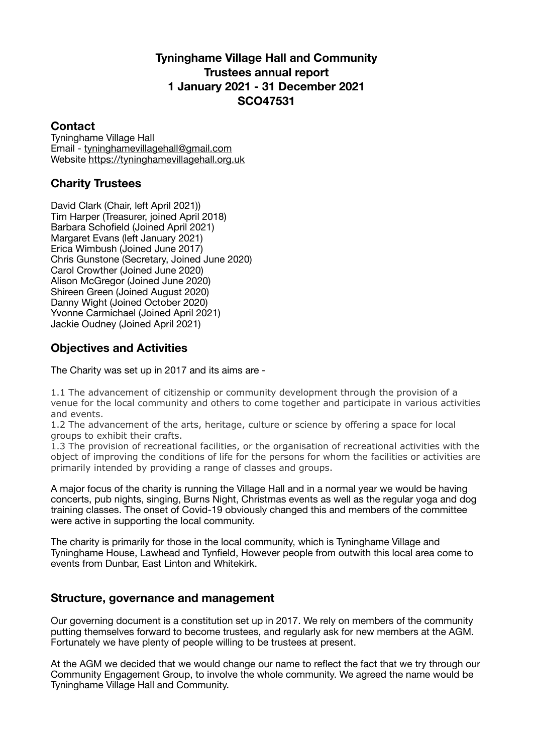# **Tyninghame Village Hall and Community Trustees annual report 1 January 2021 - 31 December 2021 SCO47531**

## **Contact**

Tyninghame Village Hall Email - [tyninghamevillagehall@gmail.com](mailto:tyninghamevillagehall@gmail.com) Website<https://tyninghamevillagehall.org.uk>

# **Charity Trustees**

David Clark (Chair, left April 2021)) Tim Harper (Treasurer, joined April 2018) Barbara Schofield (Joined April 2021) Margaret Evans (left January 2021) Erica Wimbush (Joined June 2017) Chris Gunstone (Secretary, Joined June 2020) Carol Crowther (Joined June 2020) Alison McGregor (Joined June 2020) Shireen Green (Joined August 2020) Danny Wight (Joined October 2020) Yvonne Carmichael (Joined April 2021) Jackie Oudney (Joined April 2021)

## **Objectives and Activities**

The Charity was set up in 2017 and its aims are -

1.1 The advancement of citizenship or community development through the provision of a venue for the local community and others to come together and participate in various activities and events.

1.2 The advancement of the arts, heritage, culture or science by offering a space for local groups to exhibit their crafts.

1.3 The provision of recreational facilities, or the organisation of recreational activities with the object of improving the conditions of life for the persons for whom the facilities or activities are primarily intended by providing a range of classes and groups.

A major focus of the charity is running the Village Hall and in a normal year we would be having concerts, pub nights, singing, Burns Night, Christmas events as well as the regular yoga and dog training classes. The onset of Covid-19 obviously changed this and members of the committee were active in supporting the local community.

The charity is primarily for those in the local community, which is Tyninghame Village and Tyninghame House, Lawhead and Tynfield, However people from outwith this local area come to events from Dunbar, East Linton and Whitekirk.

## **Structure, governance and management**

Our governing document is a constitution set up in 2017. We rely on members of the community putting themselves forward to become trustees, and regularly ask for new members at the AGM. Fortunately we have plenty of people willing to be trustees at present.

At the AGM we decided that we would change our name to reflect the fact that we try through our Community Engagement Group, to involve the whole community. We agreed the name would be Tyninghame Village Hall and Community.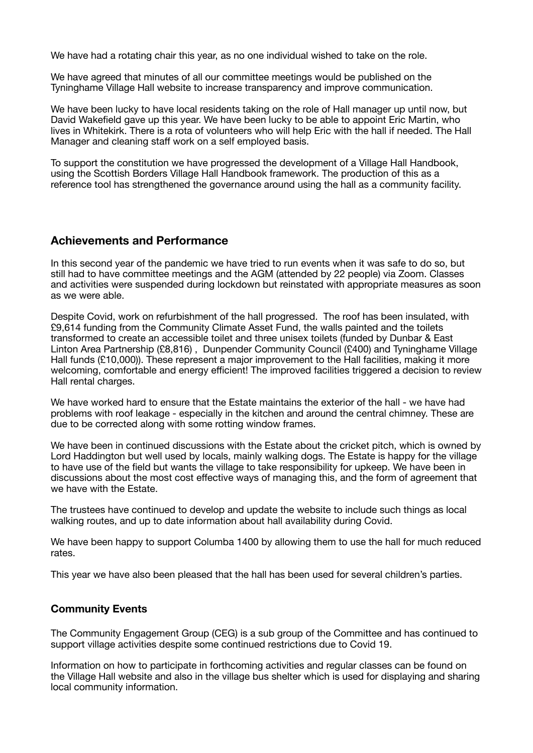We have had a rotating chair this year, as no one individual wished to take on the role.

We have agreed that minutes of all our committee meetings would be published on the Tyninghame Village Hall website to increase transparency and improve communication.

We have been lucky to have local residents taking on the role of Hall manager up until now, but David Wakefield gave up this year. We have been lucky to be able to appoint Eric Martin, who lives in Whitekirk. There is a rota of volunteers who will help Eric with the hall if needed. The Hall Manager and cleaning staff work on a self employed basis.

To support the constitution we have progressed the development of a Village Hall Handbook, using the Scottish Borders Village Hall Handbook framework. The production of this as a reference tool has strengthened the governance around using the hall as a community facility.

### **Achievements and Performance**

In this second year of the pandemic we have tried to run events when it was safe to do so, but still had to have committee meetings and the AGM (attended by 22 people) via Zoom. Classes and activities were suspended during lockdown but reinstated with appropriate measures as soon as we were able.

Despite Covid, work on refurbishment of the hall progressed. The roof has been insulated, with £9,614 funding from the Community Climate Asset Fund, the walls painted and the toilets transformed to create an accessible toilet and three unisex toilets (funded by Dunbar & East Linton Area Partnership (£8,816) , Dunpender Community Council (£400) and Tyninghame Village Hall funds (£10,000)). These represent a major improvement to the Hall facilities, making it more welcoming, comfortable and energy efficient! The improved facilities triggered a decision to review Hall rental charges.

We have worked hard to ensure that the Estate maintains the exterior of the hall - we have had problems with roof leakage - especially in the kitchen and around the central chimney. These are due to be corrected along with some rotting window frames.

We have been in continued discussions with the Estate about the cricket pitch, which is owned by Lord Haddington but well used by locals, mainly walking dogs. The Estate is happy for the village to have use of the field but wants the village to take responsibility for upkeep. We have been in discussions about the most cost effective ways of managing this, and the form of agreement that we have with the Estate.

The trustees have continued to develop and update the website to include such things as local walking routes, and up to date information about hall availability during Covid.

We have been happy to support Columba 1400 by allowing them to use the hall for much reduced rates.

This year we have also been pleased that the hall has been used for several children's parties.

#### **Community Events**

The Community Engagement Group (CEG) is a sub group of the Committee and has continued to support village activities despite some continued restrictions due to Covid 19.

Information on how to participate in forthcoming activities and regular classes can be found on the Village Hall website and also in the village bus shelter which is used for displaying and sharing local community information.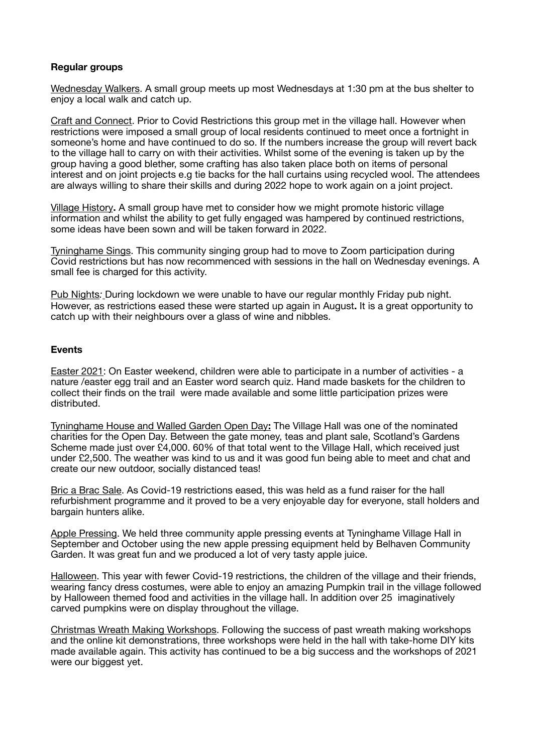#### **Regular groups**

Wednesday Walkers. A small group meets up most Wednesdays at 1:30 pm at the bus shelter to enjoy a local walk and catch up.

Craft and Connect. Prior to Covid Restrictions this group met in the village hall. However when restrictions were imposed a small group of local residents continued to meet once a fortnight in someone's home and have continued to do so. If the numbers increase the group will revert back to the village hall to carry on with their activities. Whilst some of the evening is taken up by the group having a good blether, some crafting has also taken place both on items of personal interest and on joint projects e.g tie backs for the hall curtains using recycled wool. The attendees are always willing to share their skills and during 2022 hope to work again on a joint project.

Village History**.** A small group have met to consider how we might promote historic village information and whilst the ability to get fully engaged was hampered by continued restrictions, some ideas have been sown and will be taken forward in 2022.

Tyninghame Sings. This community singing group had to move to Zoom participation during Covid restrictions but has now recommenced with sessions in the hall on Wednesday evenings. A small fee is charged for this activity.

Pub Nights*:* During lockdown we were unable to have our regular monthly Friday pub night. However, as restrictions eased these were started up again in August**.** It is a great opportunity to catch up with their neighbours over a glass of wine and nibbles.

#### **Events**

Easter 2021: On Easter weekend, children were able to participate in a number of activities - a nature /easter egg trail and an Easter word search quiz. Hand made baskets for the children to collect their finds on the trail were made available and some little participation prizes were distributed.

Tyninghame House and Walled Garden Open Day**:** The Village Hall was one of the nominated charities for the Open Day. Between the gate money, teas and plant sale, Scotland's Gardens Scheme made just over £4,000, 60% of that total went to the Village Hall, which received just under £2,500. The weather was kind to us and it was good fun being able to meet and chat and create our new outdoor, socially distanced teas!

Bric a Brac Sale. As Covid-19 restrictions eased, this was held as a fund raiser for the hall refurbishment programme and it proved to be a very enjoyable day for everyone, stall holders and bargain hunters alike.

Apple Pressing. We held three community apple pressing events at Tyninghame Village Hall in September and October using the new apple pressing equipment held by Belhaven Community Garden. It was great fun and we produced a lot of very tasty apple juice.

Halloween. This year with fewer Covid-19 restrictions, the children of the village and their friends, wearing fancy dress costumes, were able to enjoy an amazing Pumpkin trail in the village followed by Halloween themed food and activities in the village hall. In addition over 25 imaginatively carved pumpkins were on display throughout the village.

Christmas Wreath Making Workshops. Following the success of past wreath making workshops and the online kit demonstrations, three workshops were held in the hall with take-home DIY kits made available again. This activity has continued to be a big success and the workshops of 2021 were our biggest yet.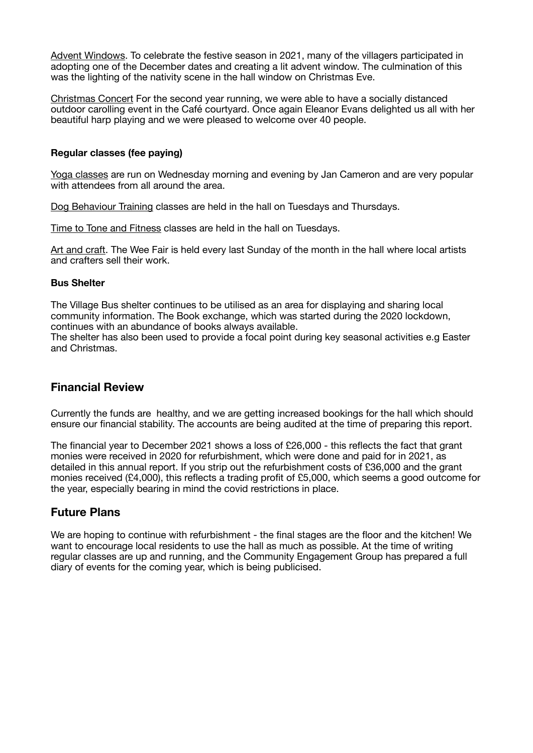Advent Windows. To celebrate the festive season in 2021, many of the villagers participated in adopting one of the December dates and creating a lit advent window. The culmination of this was the lighting of the nativity scene in the hall window on Christmas Eve.

Christmas Concert For the second year running, we were able to have a socially distanced outdoor carolling event in the Café courtyard. Once again Eleanor Evans delighted us all with her beautiful harp playing and we were pleased to welcome over 40 people.

#### **Regular classes (fee paying)**

Yoga classes are run on Wednesday morning and evening by Jan Cameron and are very popular with attendees from all around the area.

Dog Behaviour Training classes are held in the hall on Tuesdays and Thursdays.

Time to Tone and Fitness classes are held in the hall on Tuesdays.

Art and craft. The Wee Fair is held every last Sunday of the month in the hall where local artists and crafters sell their work.

#### **Bus Shelter**

The Village Bus shelter continues to be utilised as an area for displaying and sharing local community information. The Book exchange, which was started during the 2020 lockdown, continues with an abundance of books always available.

The shelter has also been used to provide a focal point during key seasonal activities e.g Easter and Christmas.

## **Financial Review**

Currently the funds are healthy, and we are getting increased bookings for the hall which should ensure our financial stability. The accounts are being audited at the time of preparing this report.

The financial year to December 2021 shows a loss of £26,000 - this reflects the fact that grant monies were received in 2020 for refurbishment, which were done and paid for in 2021, as detailed in this annual report. If you strip out the refurbishment costs of £36,000 and the grant monies received (£4,000), this reflects a trading profit of £5,000, which seems a good outcome for the year, especially bearing in mind the covid restrictions in place.

## **Future Plans**

We are hoping to continue with refurbishment - the final stages are the floor and the kitchen! We want to encourage local residents to use the hall as much as possible. At the time of writing regular classes are up and running, and the Community Engagement Group has prepared a full diary of events for the coming year, which is being publicised.